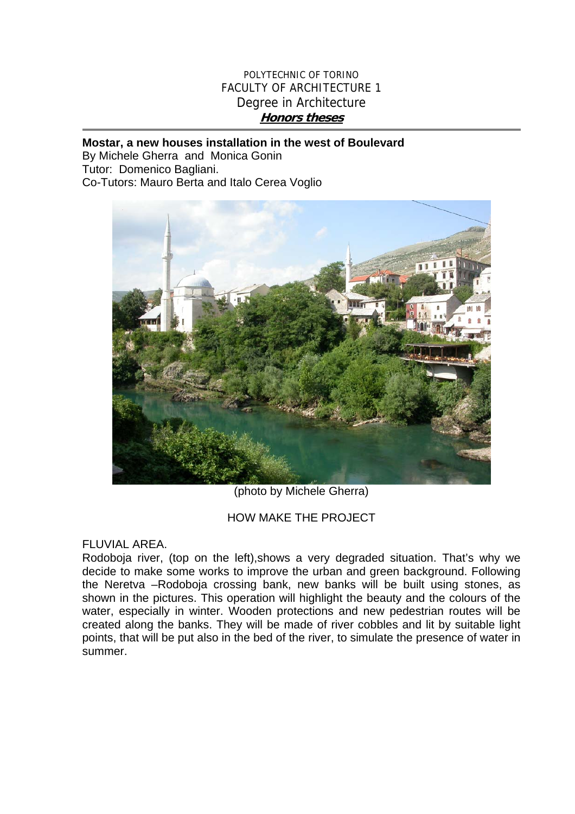# POLYTECHNIC OF TORINO FACULTY OF ARCHITECTURE 1 Degree in Architecture **Honors theses**

#### **Mostar, a new houses installation in the west of Boulevard**

By Michele Gherra and Monica Gonin Tutor: Domenico Bagliani. Co-Tutors: Mauro Berta and Italo Cerea Voglio



(photo by Michele Gherra)

# HOW MAKE THE PROJECT

# FLUVIAL AREA.

Rodoboja river, (top on the left),shows a very degraded situation. That's why we decide to make some works to improve the urban and green background. Following the Neretva –Rodoboja crossing bank, new banks will be built using stones, as shown in the pictures. This operation will highlight the beauty and the colours of the water, especially in winter. Wooden protections and new pedestrian routes will be created along the banks. They will be made of river cobbles and lit by suitable light points, that will be put also in the bed of the river, to simulate the presence of water in summer.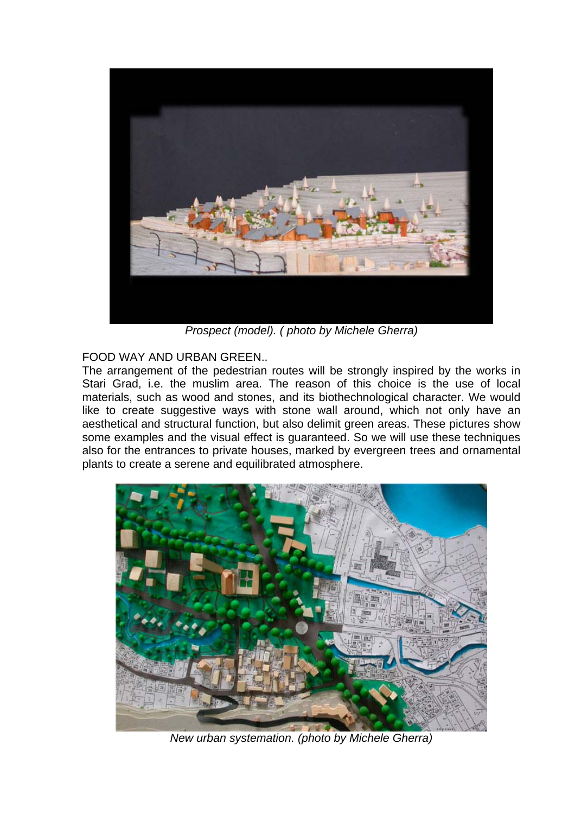

*Prospect (model). ( photo by Michele Gherra)* 

# FOOD WAY AND URBAN GREEN..

The arrangement of the pedestrian routes will be strongly inspired by the works in Stari Grad, i.e. the muslim area. The reason of this choice is the use of local materials, such as wood and stones, and its biothechnological character. We would like to create suggestive ways with stone wall around, which not only have an aesthetical and structural function, but also delimit green areas. These pictures show some examples and the visual effect is guaranteed. So we will use these techniques also for the entrances to private houses, marked by evergreen trees and ornamental plants to create a serene and equilibrated atmosphere.



*New urban systemation. (photo by Michele Gherra)*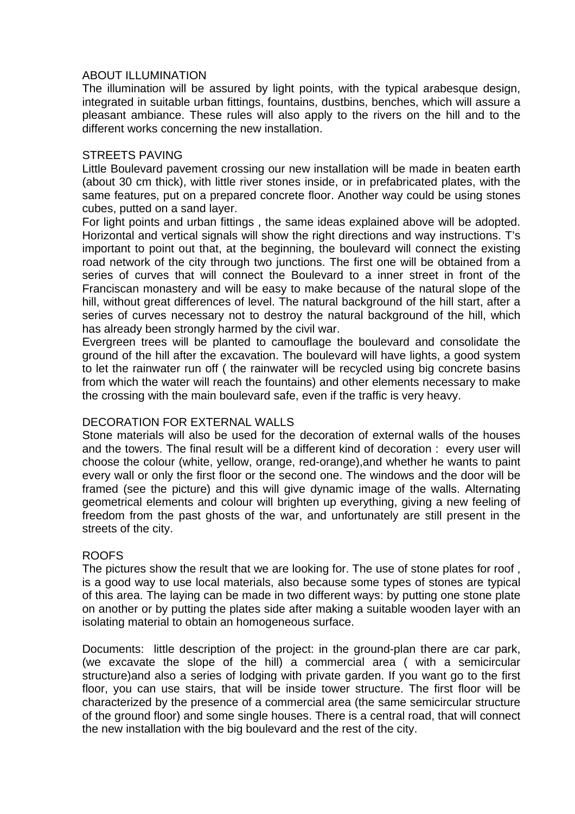### ABOUT ILLUMINATION

The illumination will be assured by light points, with the typical arabesque design, integrated in suitable urban fittings, fountains, dustbins, benches, which will assure a pleasant ambiance. These rules will also apply to the rivers on the hill and to the different works concerning the new installation.

#### STREETS PAVING

Little Boulevard pavement crossing our new installation will be made in beaten earth (about 30 cm thick), with little river stones inside, or in prefabricated plates, with the same features, put on a prepared concrete floor. Another way could be using stones cubes, putted on a sand layer.

For light points and urban fittings , the same ideas explained above will be adopted. Horizontal and vertical signals will show the right directions and way instructions. T's important to point out that, at the beginning, the boulevard will connect the existing road network of the city through two junctions. The first one will be obtained from a series of curves that will connect the Boulevard to a inner street in front of the Franciscan monastery and will be easy to make because of the natural slope of the hill, without great differences of level. The natural background of the hill start, after a series of curves necessary not to destroy the natural background of the hill, which has already been strongly harmed by the civil war.

Evergreen trees will be planted to camouflage the boulevard and consolidate the ground of the hill after the excavation. The boulevard will have lights, a good system to let the rainwater run off ( the rainwater will be recycled using big concrete basins from which the water will reach the fountains) and other elements necessary to make the crossing with the main boulevard safe, even if the traffic is very heavy.

### DECORATION FOR EXTERNAL WALLS

Stone materials will also be used for the decoration of external walls of the houses and the towers. The final result will be a different kind of decoration : every user will choose the colour (white, yellow, orange, red-orange),and whether he wants to paint every wall or only the first floor or the second one. The windows and the door will be framed (see the picture) and this will give dynamic image of the walls. Alternating geometrical elements and colour will brighten up everything, giving a new feeling of freedom from the past ghosts of the war, and unfortunately are still present in the streets of the city.

### ROOFS

The pictures show the result that we are looking for. The use of stone plates for roof , is a good way to use local materials, also because some types of stones are typical of this area. The laying can be made in two different ways: by putting one stone plate on another or by putting the plates side after making a suitable wooden layer with an isolating material to obtain an homogeneous surface.

Documents: little description of the project: in the ground-plan there are car park, (we excavate the slope of the hill) a commercial area ( with a semicircular structure)and also a series of lodging with private garden. If you want go to the first floor, you can use stairs, that will be inside tower structure. The first floor will be characterized by the presence of a commercial area (the same semicircular structure of the ground floor) and some single houses. There is a central road, that will connect the new installation with the big boulevard and the rest of the city.